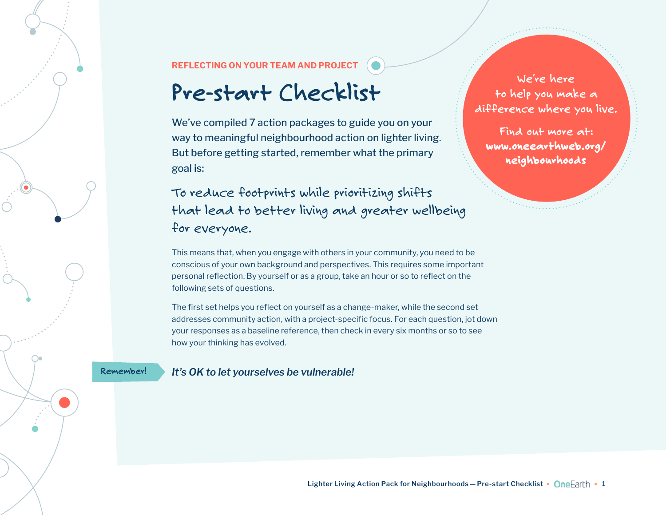## REFLECTING ON YOUR TEAM AND PROJECT

## **Pre-start Checklist**

We've compiled 7 action packages to guide you on your way to meaningful neighbourhood action on lighter living. But before getting started, remember what the primary goal is:

To reduce footprints while prioritizing shifts that lead to better living and greater wellbeing for everyone.

**We̒re here to help you make a difference where you live.** 

**Find out more at:** [www.oneearthweb.org/](http://www.oneearthweb.org/neighbourhoods) [neighbourhoods](http://www.oneearthweb.org/neighbourhoods)

This means that, when you engage with others in your community, you need to be conscious of your own background and perspectives. This requires some important personal reflection. By yourself or as a group, take an hour or so to reflect on the following sets of questions.

The first set helps you reflect on yourself as a change-maker, while the second set addresses community action, with a project-specific focus. For each question, jot down your responses as a baseline reference, then check in every six months or so to see how your thinking has evolved.

**Remember!** *It's OK to let yourselves be vulnerable!*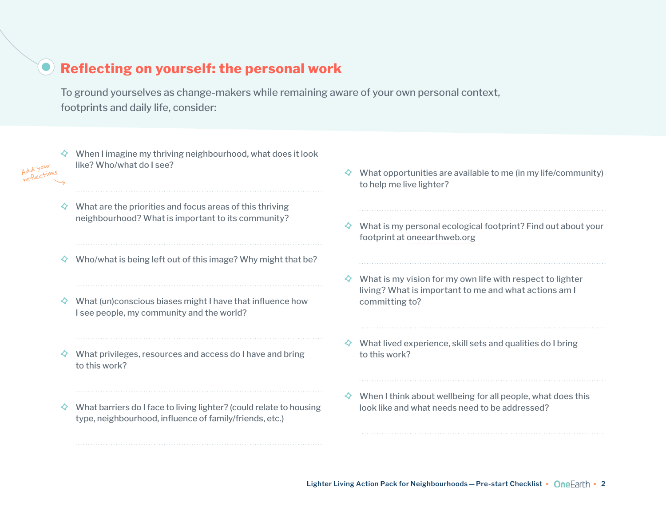## Reflecting on yourself: the personal work

To ground yourselves as change-makers while remaining aware of your own personal context, footprints and daily life, consider:

- $\Diamond$  When I imagine my thriving neighbourhood, what does it look like? Who/what do I see?
- $\Diamond$  What are the priorities and focus areas of this thriving neighbourhood? What is important to its community?

Add your reflections

- $\Diamond$  Who/what is being left out of this image? Why might that be?
- $\Diamond$  What (un)conscious biases might I have that influence how I see people, my community and the world?
- $\diamondsuit$  What privileges, resources and access do I have and bring to this work?
- $\Diamond$  What barriers do I face to living lighter? (could relate to housing type, neighbourhood, influence of family/friends, etc.)
- $\Diamond$  What opportunities are available to me (in my life/community) to help me live lighter?
- $\diamond$  What is my personal ecological footprint? Find out about your footprint at [oneearthweb.org](http://oneearthweb.org)
- $\diamond$  What is my vision for my own life with respect to lighter living? What is important to me and what actions am I committing to?
- $\diamond$  What lived experience, skill sets and qualities do I bring to this work?
- $\Diamond$  When I think about wellbeing for all people, what does this look like and what needs need to be addressed?